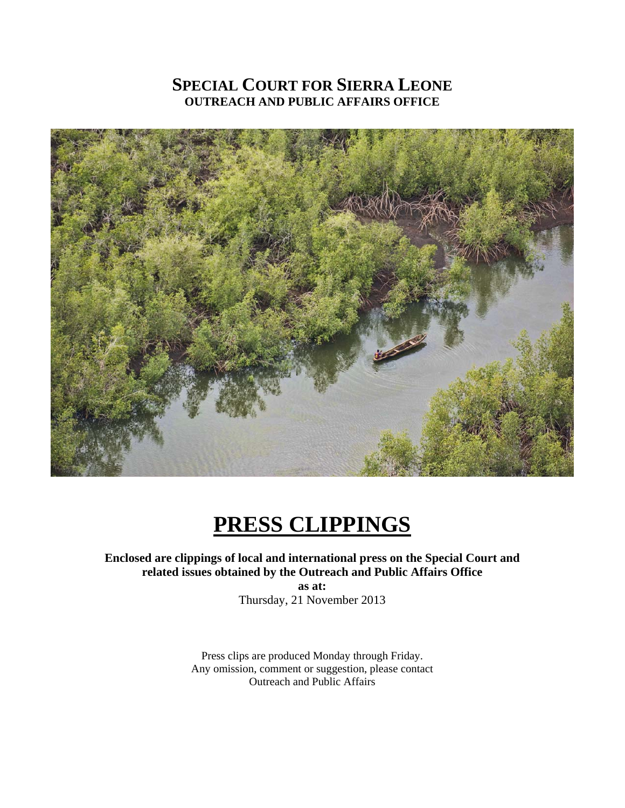## **SPECIAL COURT FOR SIERRA LEONE OUTREACH AND PUBLIC AFFAIRS OFFICE**



# **PRESS CLIPPINGS**

## **Enclosed are clippings of local and international press on the Special Court and related issues obtained by the Outreach and Public Affairs Office**

**as at:**  Thursday, 21 November 2013

Press clips are produced Monday through Friday. Any omission, comment or suggestion, please contact Outreach and Public Affairs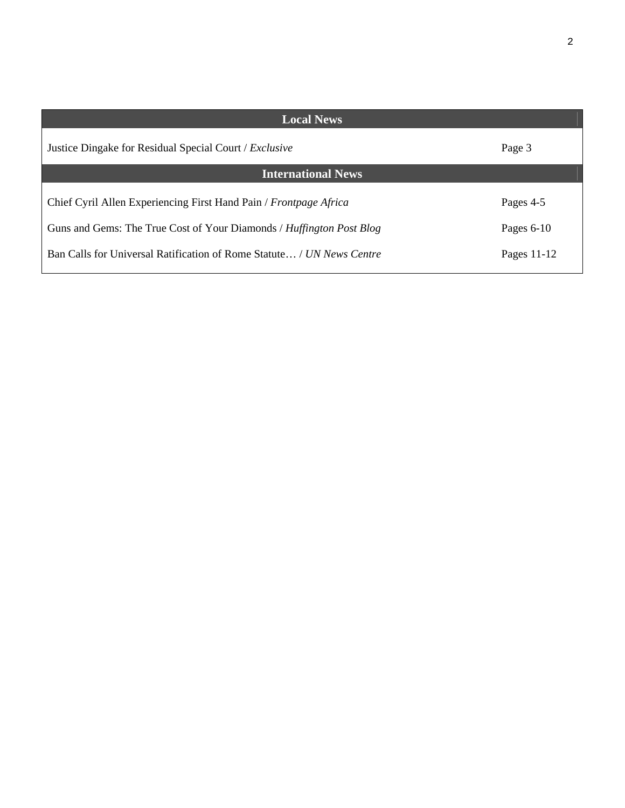| ۰,<br>I |  |
|---------|--|
| ۰,      |  |
|         |  |

| <b>Local News</b>                                                     |              |  |
|-----------------------------------------------------------------------|--------------|--|
| Justice Dingake for Residual Special Court / Exclusive                | Page 3       |  |
| <b>International News</b>                                             |              |  |
| Chief Cyril Allen Experiencing First Hand Pain / Frontpage Africa     | Pages 4-5    |  |
| Guns and Gems: The True Cost of Your Diamonds / Huffington Post Blog  | Pages $6-10$ |  |
| Ban Calls for Universal Ratification of Rome Statute / UN News Centre | Pages 11-12  |  |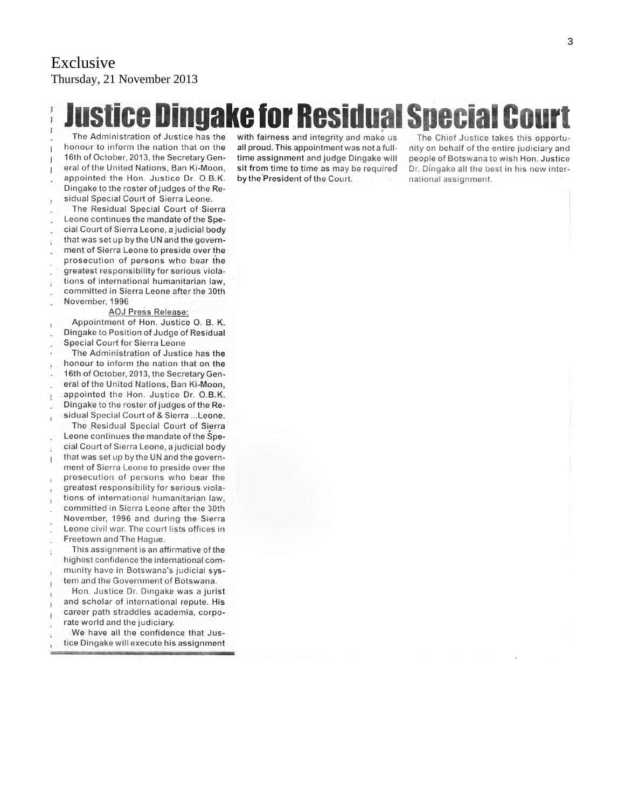## Exclusive Thursday, 21 November 2013

**Justice Dingake for Residual Special Cour** 

The Administration of Justice has the honour to inform the nation that on the 16th of October, 2013, the Secretary General of the United Nations, Ban Ki-Moon. appointed the Hon. Justice Dr. O.B.K. Dingake to the roster of judges of the Residual Special Court of Sierra Leone.

The Residual Special Court of Sierra Leone continues the mandate of the Special Court of Sierra Leone, a judicial body that was set up by the UN and the government of Sierra Leone to preside over the prosecution of persons who bear the greatest responsibility for serious violations of international humanitarian law, committed in Sierra Leone after the 30th November, 1996

#### **AOJ Press Release:**

Appointment of Hon. Justice O. B. K. Dingake to Position of Judge of Residual **Special Court for Sierra Leone** 

The Administration of Justice has the honour to inform the nation that on the 16th of October, 2013, the Secretary General of the United Nations, Ban Ki-Moon, appointed the Hon. Justice Dr. O.B.K. Dingake to the roster of judges of the Residual Special Court of & Sierra ... Leone.

The Residual Special Court of Sierra Leone continues the mandate of the Special Court of Sierra Leone, a judicial body that was set up by the UN and the government of Sierra Leone to preside over the prosecution of persons who bear the greatest responsibility for serious violations of international humanitarian law, committed in Sierra Leone after the 30th November, 1996 and during the Sierra Leone civil war. The court lists offices in Freetown and The Hague.

This assignment is an affirmative of the highest confidence the international community have in Botswana's judicial system and the Government of Botswana.

Hon. Justice Dr. Dingake was a jurist and scholar of international repute. His career path straddles academia, corporate world and the judiciary.

We have all the confidence that Justice Dingake will execute his assignment with fairness and integrity and make us all proud. This appointment was not a fulltime assignment and judge Dingake will sit from time to time as may be required by the President of the Court.

The Chief Justice takes this opportunity on behalf of the entire judiciary and people of Botswana to wish Hon. Justice Dr. Dingake all the best in his new international assignment.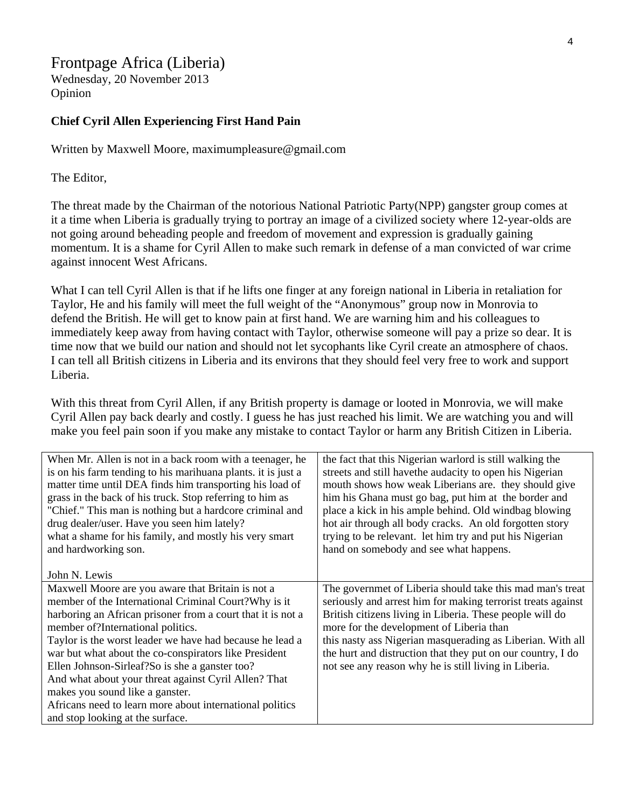## Frontpage Africa (Liberia)

Wednesday, 20 November 2013 Opinion

#### **Chief Cyril Allen Experiencing First Hand Pain**

Written by Maxwell Moore, maximumpleasure@gmail.com

The Editor,

The threat made by the Chairman of the notorious National Patriotic Party(NPP) gangster group comes at it a time when Liberia is gradually trying to portray an image of a civilized society where 12-year-olds are not going around beheading people and freedom of movement and expression is gradually gaining momentum. It is a shame for Cyril Allen to make such remark in defense of a man convicted of war crime against innocent West Africans.

What I can tell Cyril Allen is that if he lifts one finger at any foreign national in Liberia in retaliation for Taylor, He and his family will meet the full weight of the "Anonymous" group now in Monrovia to defend the British. He will get to know pain at first hand. We are warning him and his colleagues to immediately keep away from having contact with Taylor, otherwise someone will pay a prize so dear. It is time now that we build our nation and should not let sycophants like Cyril create an atmosphere of chaos. I can tell all British citizens in Liberia and its environs that they should feel very free to work and support Liberia.

With this threat from Cyril Allen, if any British property is damage or looted in Monrovia, we will make Cyril Allen pay back dearly and costly. I guess he has just reached his limit. We are watching you and will make you feel pain soon if you make any mistake to contact Taylor or harm any British Citizen in Liberia.

| When Mr. Allen is not in a back room with a teenager, he<br>is on his farm tending to his marihuana plants. it is just a<br>matter time until DEA finds him transporting his load of<br>grass in the back of his truck. Stop referring to him as<br>"Chief." This man is nothing but a hardcore criminal and<br>drug dealer/user. Have you seen him lately?<br>what a shame for his family, and mostly his very smart<br>and hardworking son.<br>John N. Lewis                                                                                                                   | the fact that this Nigerian warlord is still walking the<br>streets and still have the audacity to open his Nigerian<br>mouth shows how weak Liberians are. they should give<br>him his Ghana must go bag, put him at the border and<br>place a kick in his ample behind. Old windbag blowing<br>hot air through all body cracks. An old forgotten story<br>trying to be relevant. let him try and put his Nigerian<br>hand on somebody and see what happens. |
|----------------------------------------------------------------------------------------------------------------------------------------------------------------------------------------------------------------------------------------------------------------------------------------------------------------------------------------------------------------------------------------------------------------------------------------------------------------------------------------------------------------------------------------------------------------------------------|---------------------------------------------------------------------------------------------------------------------------------------------------------------------------------------------------------------------------------------------------------------------------------------------------------------------------------------------------------------------------------------------------------------------------------------------------------------|
| Maxwell Moore are you aware that Britain is not a<br>member of the International Criminal Court? Why is it<br>harboring an African prisoner from a court that it is not a<br>member of?International politics.<br>Taylor is the worst leader we have had because he lead a<br>war but what about the co-conspirators like President<br>Ellen Johnson-Sirleaf?So is she a ganster too?<br>And what about your threat against Cyril Allen? That<br>makes you sound like a ganster.<br>Africans need to learn more about international politics<br>and stop looking at the surface. | The governmet of Liberia should take this mad man's treat<br>seriously and arrest him for making terrorist treats against<br>British citizens living in Liberia. These people will do<br>more for the development of Liberia than<br>this nasty ass Nigerian masquerading as Liberian. With all<br>the hurt and distruction that they put on our country, I do<br>not see any reason why he is still living in Liberia.                                       |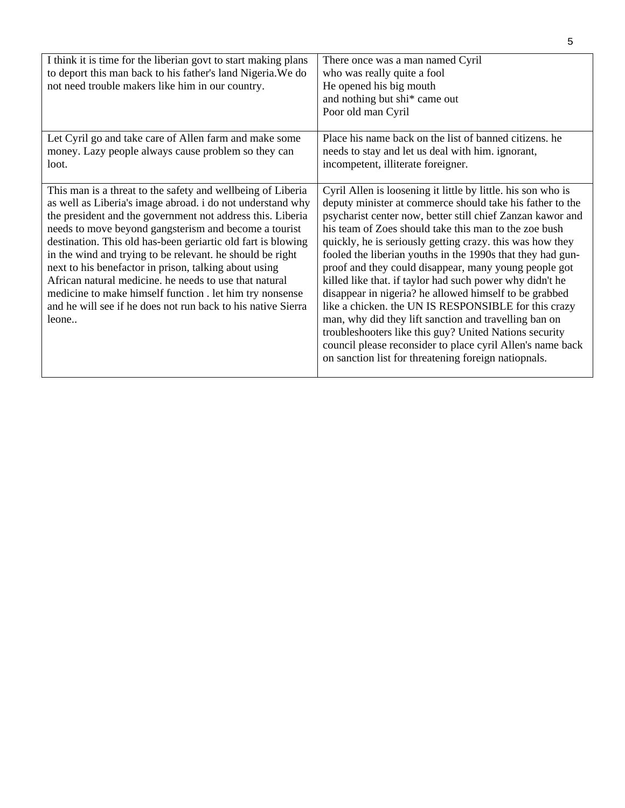| I think it is time for the liberian govt to start making plans<br>to deport this man back to his father's land Nigeria. We do<br>not need trouble makers like him in our country.                                                                                                                                                                                                                                                                                                                                                                                                                                                    | There once was a man named Cyril<br>who was really quite a fool<br>He opened his big mouth<br>and nothing but shi* came out<br>Poor old man Cyril                                                                                                                                                                                                                                                                                                                                                                                                                                                                                                                                                                                                                                                                                                           |
|--------------------------------------------------------------------------------------------------------------------------------------------------------------------------------------------------------------------------------------------------------------------------------------------------------------------------------------------------------------------------------------------------------------------------------------------------------------------------------------------------------------------------------------------------------------------------------------------------------------------------------------|-------------------------------------------------------------------------------------------------------------------------------------------------------------------------------------------------------------------------------------------------------------------------------------------------------------------------------------------------------------------------------------------------------------------------------------------------------------------------------------------------------------------------------------------------------------------------------------------------------------------------------------------------------------------------------------------------------------------------------------------------------------------------------------------------------------------------------------------------------------|
| Let Cyril go and take care of Allen farm and make some<br>money. Lazy people always cause problem so they can<br>loot.                                                                                                                                                                                                                                                                                                                                                                                                                                                                                                               | Place his name back on the list of banned citizens, he<br>needs to stay and let us deal with him. ignorant,<br>incompetent, illiterate foreigner.                                                                                                                                                                                                                                                                                                                                                                                                                                                                                                                                                                                                                                                                                                           |
| This man is a threat to the safety and wellbeing of Liberia<br>as well as Liberia's image abroad. i do not understand why<br>the president and the government not address this. Liberia<br>needs to move beyond gangsterism and become a tourist<br>destination. This old has-been geriartic old fart is blowing<br>in the wind and trying to be relevant. he should be right<br>next to his benefactor in prison, talking about using<br>African natural medicine, he needs to use that natural<br>medicine to make himself function. let him try nonsense<br>and he will see if he does not run back to his native Sierra<br>leone | Cyril Allen is loosening it little by little. his son who is<br>deputy minister at commerce should take his father to the<br>psycharist center now, better still chief Zanzan kawor and<br>his team of Zoes should take this man to the zoe bush<br>quickly, he is seriously getting crazy. this was how they<br>fooled the liberian youths in the 1990s that they had gun-<br>proof and they could disappear, many young people got<br>killed like that. if taylor had such power why didn't he<br>disappear in nigeria? he allowed himself to be grabbed<br>like a chicken. the UN IS RESPONSIBLE for this crazy<br>man, why did they lift sanction and travelling ban on<br>troubleshooters like this guy? United Nations security<br>council please reconsider to place cyril Allen's name back<br>on sanction list for threatening foreign natiopnals. |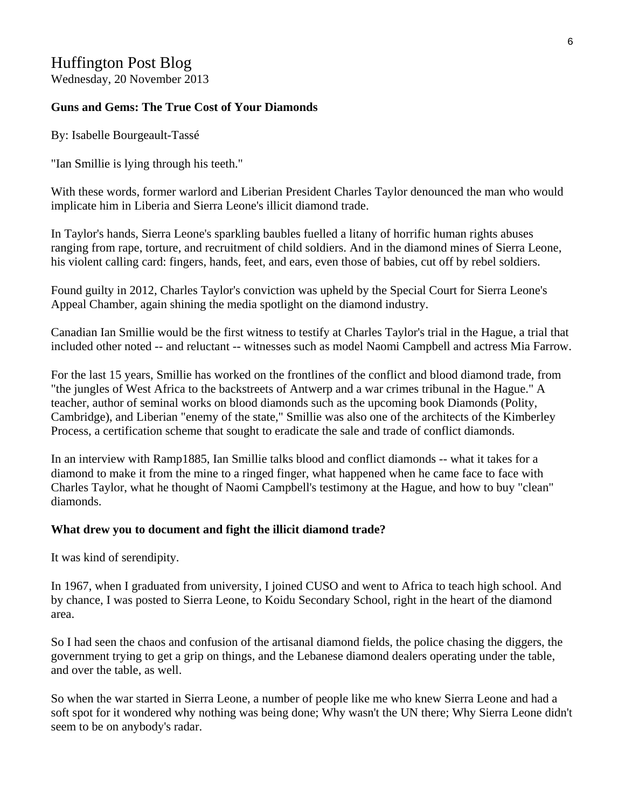## Huffington Post Blog

Wednesday, 20 November 2013

#### **Guns and Gems: The True Cost of Your Diamonds**

By: Isabelle Bourgeault-Tassé

"Ian Smillie is lying through his teeth."

With these words, former warlord and Liberian President Charles Taylor denounced the man who would implicate him in Liberia and Sierra Leone's illicit diamond trade.

In Taylor's hands, Sierra Leone's sparkling baubles fuelled a litany of horrific human rights abuses ranging from rape, torture, and recruitment of child soldiers. And in the diamond mines of Sierra Leone, his violent calling card: fingers, hands, feet, and ears, even those of babies, cut off by rebel soldiers.

Found guilty in 2012, Charles Taylor's conviction was upheld by the Special Court for Sierra Leone's Appeal Chamber, again shining the media spotlight on the diamond industry.

Canadian Ian Smillie would be the first witness to testify at Charles Taylor's trial in the Hague, a trial that included other noted -- and reluctant -- witnesses such as model Naomi Campbell and actress Mia Farrow.

For the last 15 years, Smillie has worked on the frontlines of the conflict and blood diamond trade, from "the jungles of West Africa to the backstreets of Antwerp and a war crimes tribunal in the Hague." A teacher, author of seminal works on blood diamonds such as the upcoming book Diamonds (Polity, Cambridge), and Liberian "enemy of the state," Smillie was also one of the architects of the Kimberley Process, a certification scheme that sought to eradicate the sale and trade of conflict diamonds.

In an interview with Ramp1885, Ian Smillie talks blood and conflict diamonds -- what it takes for a diamond to make it from the mine to a ringed finger, what happened when he came face to face with Charles Taylor, what he thought of Naomi Campbell's testimony at the Hague, and how to buy "clean" diamonds.

#### **What drew you to document and fight the illicit diamond trade?**

It was kind of serendipity.

In 1967, when I graduated from university, I joined CUSO and went to Africa to teach high school. And by chance, I was posted to Sierra Leone, to Koidu Secondary School, right in the heart of the diamond area.

So I had seen the chaos and confusion of the artisanal diamond fields, the police chasing the diggers, the government trying to get a grip on things, and the Lebanese diamond dealers operating under the table, and over the table, as well.

So when the war started in Sierra Leone, a number of people like me who knew Sierra Leone and had a soft spot for it wondered why nothing was being done; Why wasn't the UN there; Why Sierra Leone didn't seem to be on anybody's radar.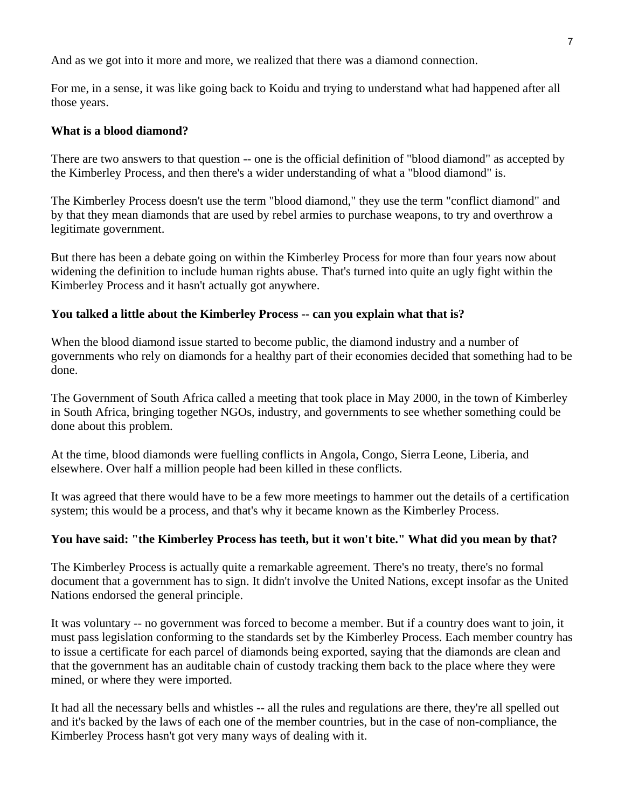And as we got into it more and more, we realized that there was a diamond connection.

For me, in a sense, it was like going back to Koidu and trying to understand what had happened after all those years.

#### **What is a blood diamond?**

There are two answers to that question -- one is the official definition of "blood diamond" as accepted by the Kimberley Process, and then there's a wider understanding of what a "blood diamond" is.

The Kimberley Process doesn't use the term "blood diamond," they use the term "conflict diamond" and by that they mean diamonds that are used by rebel armies to purchase weapons, to try and overthrow a legitimate government.

But there has been a debate going on within the Kimberley Process for more than four years now about widening the definition to include human rights abuse. That's turned into quite an ugly fight within the Kimberley Process and it hasn't actually got anywhere.

#### **You talked a little about the Kimberley Process -- can you explain what that is?**

When the blood diamond issue started to become public, the diamond industry and a number of governments who rely on diamonds for a healthy part of their economies decided that something had to be done.

The Government of South Africa called a meeting that took place in May 2000, in the town of Kimberley in South Africa, bringing together NGOs, industry, and governments to see whether something could be done about this problem.

At the time, blood diamonds were fuelling conflicts in Angola, Congo, Sierra Leone, Liberia, and elsewhere. Over half a million people had been killed in these conflicts.

It was agreed that there would have to be a few more meetings to hammer out the details of a certification system; this would be a process, and that's why it became known as the Kimberley Process.

#### **You have said: "the Kimberley Process has teeth, but it won't bite." What did you mean by that?**

The Kimberley Process is actually quite a remarkable agreement. There's no treaty, there's no formal document that a government has to sign. It didn't involve the United Nations, except insofar as the United Nations endorsed the general principle.

It was voluntary -- no government was forced to become a member. But if a country does want to join, it must pass legislation conforming to the standards set by the Kimberley Process. Each member country has to issue a certificate for each parcel of diamonds being exported, saying that the diamonds are clean and that the government has an auditable chain of custody tracking them back to the place where they were mined, or where they were imported.

It had all the necessary bells and whistles -- all the rules and regulations are there, they're all spelled out and it's backed by the laws of each one of the member countries, but in the case of non-compliance, the Kimberley Process hasn't got very many ways of dealing with it.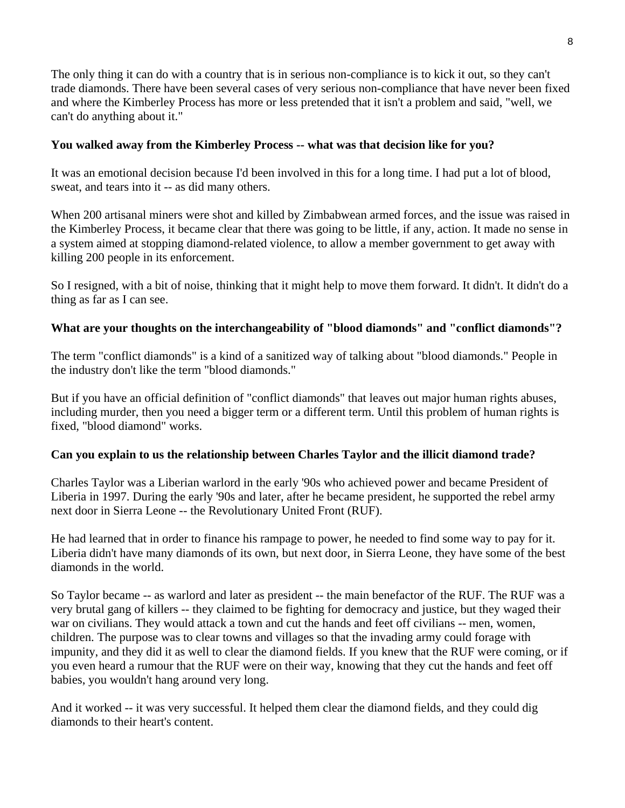The only thing it can do with a country that is in serious non-compliance is to kick it out, so they can't trade diamonds. There have been several cases of very serious non-compliance that have never been fixed and where the Kimberley Process has more or less pretended that it isn't a problem and said, "well, we can't do anything about it."

#### **You walked away from the Kimberley Process -- what was that decision like for you?**

It was an emotional decision because I'd been involved in this for a long time. I had put a lot of blood, sweat, and tears into it -- as did many others.

When 200 artisanal miners were shot and killed by Zimbabwean armed forces, and the issue was raised in the Kimberley Process, it became clear that there was going to be little, if any, action. It made no sense in a system aimed at stopping diamond-related violence, to allow a member government to get away with killing 200 people in its enforcement.

So I resigned, with a bit of noise, thinking that it might help to move them forward. It didn't. It didn't do a thing as far as I can see.

### **What are your thoughts on the interchangeability of "blood diamonds" and "conflict diamonds"?**

The term "conflict diamonds" is a kind of a sanitized way of talking about "blood diamonds." People in the industry don't like the term "blood diamonds."

But if you have an official definition of "conflict diamonds" that leaves out major human rights abuses, including murder, then you need a bigger term or a different term. Until this problem of human rights is fixed, "blood diamond" works.

#### **Can you explain to us the relationship between Charles Taylor and the illicit diamond trade?**

Charles Taylor was a Liberian warlord in the early '90s who achieved power and became President of Liberia in 1997. During the early '90s and later, after he became president, he supported the rebel army next door in Sierra Leone -- the Revolutionary United Front (RUF).

He had learned that in order to finance his rampage to power, he needed to find some way to pay for it. Liberia didn't have many diamonds of its own, but next door, in Sierra Leone, they have some of the best diamonds in the world.

So Taylor became -- as warlord and later as president -- the main benefactor of the RUF. The RUF was a very brutal gang of killers -- they claimed to be fighting for democracy and justice, but they waged their war on civilians. They would attack a town and cut the hands and feet off civilians -- men, women, children. The purpose was to clear towns and villages so that the invading army could forage with impunity, and they did it as well to clear the diamond fields. If you knew that the RUF were coming, or if you even heard a rumour that the RUF were on their way, knowing that they cut the hands and feet off babies, you wouldn't hang around very long.

And it worked -- it was very successful. It helped them clear the diamond fields, and they could dig diamonds to their heart's content.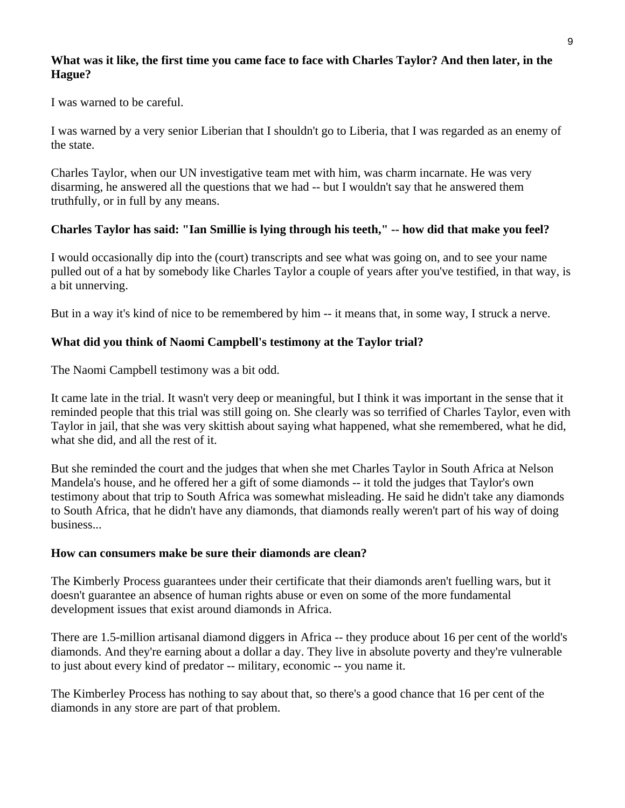#### **What was it like, the first time you came face to face with Charles Taylor? And then later, in the Hague?**

I was warned to be careful.

I was warned by a very senior Liberian that I shouldn't go to Liberia, that I was regarded as an enemy of the state.

Charles Taylor, when our UN investigative team met with him, was charm incarnate. He was very disarming, he answered all the questions that we had -- but I wouldn't say that he answered them truthfully, or in full by any means.

### **Charles Taylor has said: "Ian Smillie is lying through his teeth," -- how did that make you feel?**

I would occasionally dip into the (court) transcripts and see what was going on, and to see your name pulled out of a hat by somebody like Charles Taylor a couple of years after you've testified, in that way, is a bit unnerving.

But in a way it's kind of nice to be remembered by him -- it means that, in some way, I struck a nerve.

### **What did you think of Naomi Campbell's testimony at the Taylor trial?**

The Naomi Campbell testimony was a bit odd.

It came late in the trial. It wasn't very deep or meaningful, but I think it was important in the sense that it reminded people that this trial was still going on. She clearly was so terrified of Charles Taylor, even with Taylor in jail, that she was very skittish about saying what happened, what she remembered, what he did, what she did, and all the rest of it.

But she reminded the court and the judges that when she met Charles Taylor in South Africa at Nelson Mandela's house, and he offered her a gift of some diamonds -- it told the judges that Taylor's own testimony about that trip to South Africa was somewhat misleading. He said he didn't take any diamonds to South Africa, that he didn't have any diamonds, that diamonds really weren't part of his way of doing business...

#### **How can consumers make be sure their diamonds are clean?**

The Kimberly Process guarantees under their certificate that their diamonds aren't fuelling wars, but it doesn't guarantee an absence of human rights abuse or even on some of the more fundamental development issues that exist around diamonds in Africa.

There are 1.5-million artisanal diamond diggers in Africa -- they produce about 16 per cent of the world's diamonds. And they're earning about a dollar a day. They live in absolute poverty and they're vulnerable to just about every kind of predator -- military, economic -- you name it.

The Kimberley Process has nothing to say about that, so there's a good chance that 16 per cent of the diamonds in any store are part of that problem.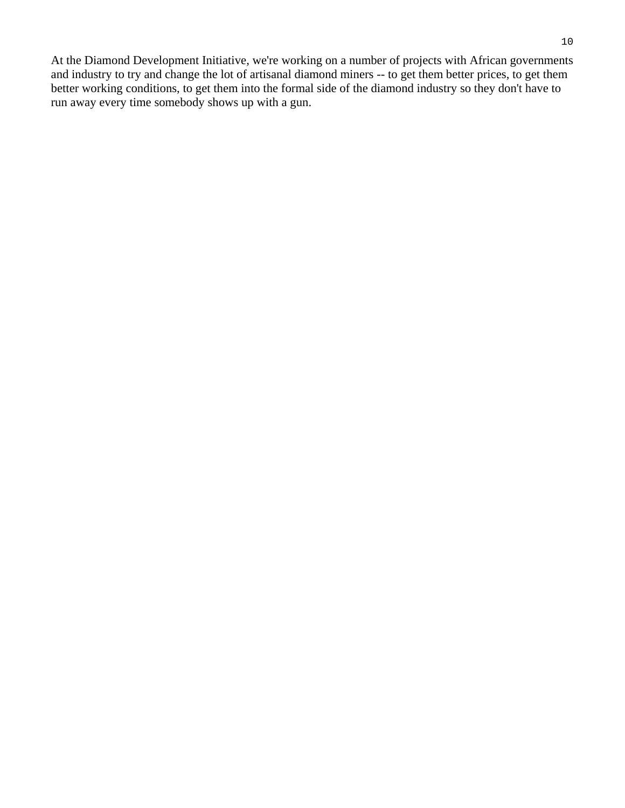At the Diamond Development Initiative, we're working on a number of projects with African governments and industry to try and change the lot of artisanal diamond miners -- to get them better prices, to get them better working conditions, to get them into the formal side of the diamond industry so they don't have to run away every time somebody shows up with a gun.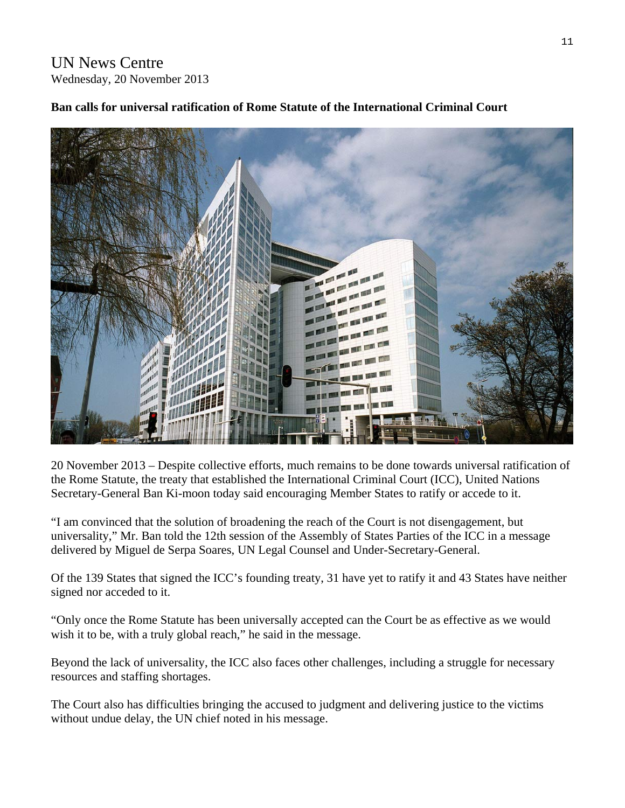## UN News Centre Wednesday, 20 November 2013



## **Ban calls for universal ratification of Rome Statute of the International Criminal Court**

20 November 2013 – Despite collective efforts, much remains to be done towards universal ratification of the Rome Statute, the treaty that established the International Criminal Court (ICC), United Nations Secretary-General Ban Ki-moon today said encouraging Member States to ratify or accede to it.

"I am convinced that the solution of broadening the reach of the Court is not disengagement, but universality," Mr. Ban told the 12th session of the Assembly of States Parties of the ICC in a message delivered by Miguel de Serpa Soares, UN Legal Counsel and Under-Secretary-General.

Of the 139 States that signed the ICC's founding treaty, 31 have yet to ratify it and 43 States have neither signed nor acceded to it.

"Only once the Rome Statute has been universally accepted can the Court be as effective as we would wish it to be, with a truly global reach," he said in the message.

Beyond the lack of universality, the ICC also faces other challenges, including a struggle for necessary resources and staffing shortages.

The Court also has difficulties bringing the accused to judgment and delivering justice to the victims without undue delay, the UN chief noted in his message.